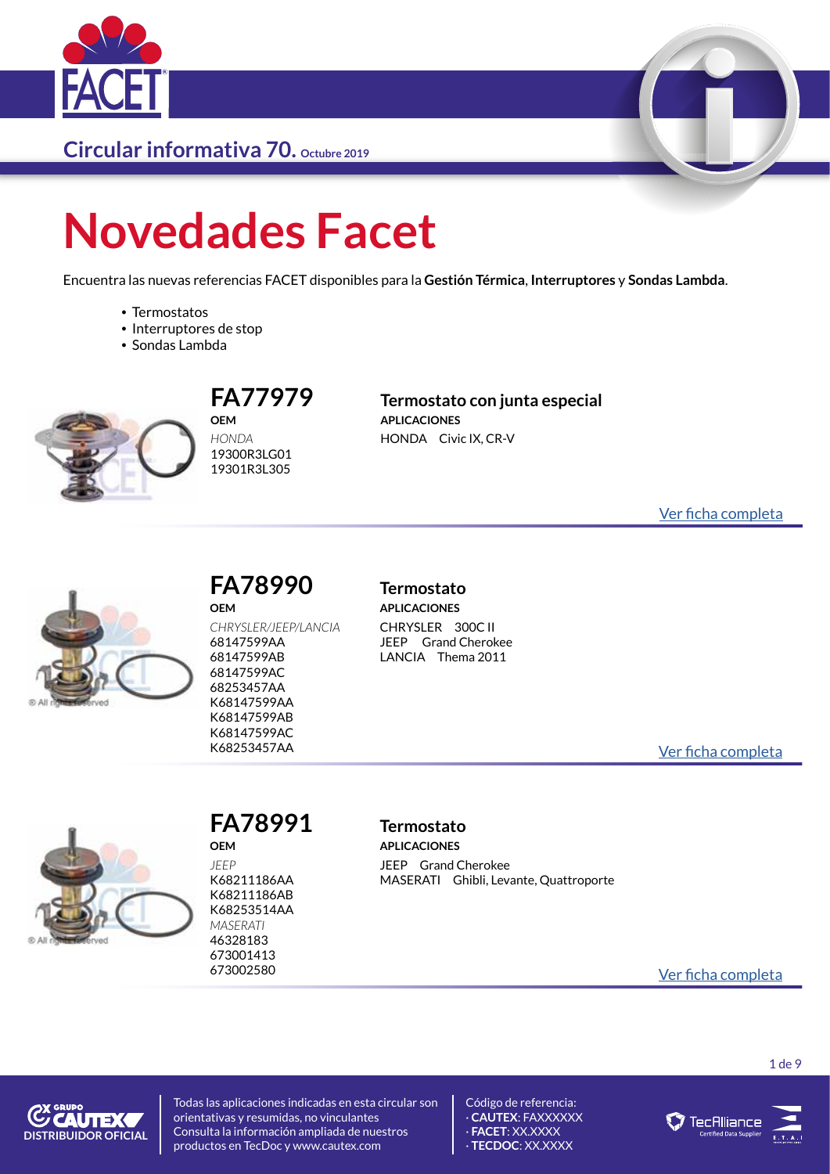

# **Novedades Facet**

Encuentra las nuevas referencias FACET disponibles para la **Gestión Térmica**, **Interruptores** y **Sondas Lambda**.

- Termostatos
- Interruptores de stop
- Sondas Lambda



#### **OEM** *HONDA* 19300R3LG01 19301R3L305

#### **FA77979 Termostato con junta especial APLICACIONES** HONDA Civic IX, CR-V

[Ver ficha completa](https://catalogo.facet.eu/dettaglio/ES/Home/DettaglioProdotto/7.7979)



#### **FA78990 Termostato OEM**

*CHRYSLER/JEEP/LANCIA* 68147599AA 68147599AB 68147599AC 68253457AA K68147599AA K68147599AB K68147599AC

**APLICACIONES** CHRYSLER 300C II JEEP Grand Cherokee LANCIA Thema 2011

K68253457AA [Ver ficha completa](https://catalogo.facet.eu/dettaglio/ES/Home/DettaglioProdotto/7.8990)



*JEEP* K68211186AA K68211186AB K68253514AA *MASERATI* 46328183 673001413

**OEM**

### **FA78991 Termostato**

**APLICACIONES** JEEP Grand Cherokee MASERATI Ghibli, Levante, Quattroporte

<sup>673002580</sup> [Ver ficha completa](https://catalogo.facet.eu/dettaglio/ES/Home/DettaglioProdotto/7.8991)

**COUTEX DISTRIBUIDOR OFICIAL**

Todas las aplicaciones indicadas en esta circular son orientativas y resumidas, no vinculantes Consulta la información ampliada de nuestros productos en TecDoc y www.cautex.com



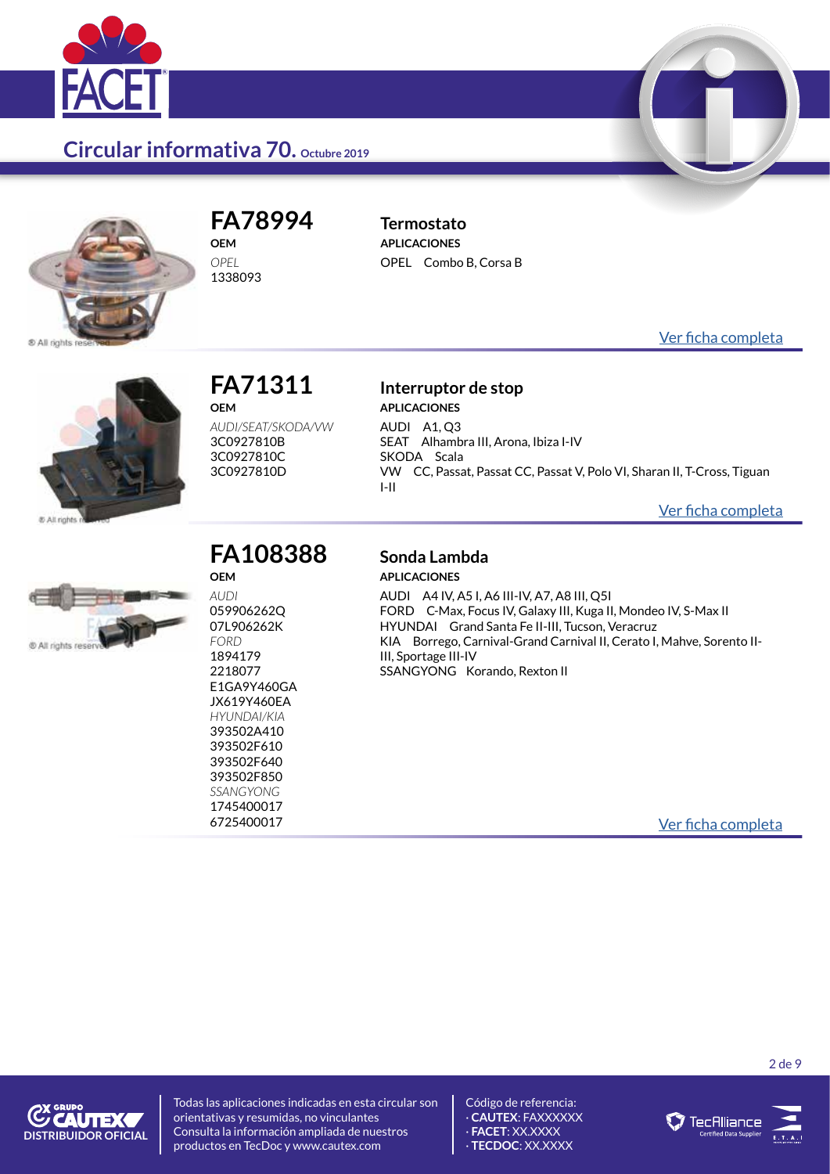



**FA78994 Termostato OEM** *OPEL*

1338093

**APLICACIONES** OPEL Combo B, Corsa B

[Ver ficha completa](https://catalogo.facet.eu/dettaglio/ES/Home/DettaglioProdotto/7.8994)



### **FA71311 Interruptor de stop OEM**

*AUDI/SEAT/SKODA/VW* 3C0927810B 3C0927810C 3C0927810D

## **APLICACIONES**

AUDI A1, Q3 SEAT Alhambra III, Arona, Ibiza I-IV SKODA Scala VW CC, Passat, Passat CC, Passat V, Polo VI, Sharan II, T-Cross, Tiguan I-II

[Ver ficha completa](https://catalogo.facet.eu/dettaglio/ES/Home/DettaglioProdotto/7.1311)



## **OEM**

*AUDI* 059906262Q 07L906262K *FORD* 1894179 2218077 E1GA9Y460GA JX619Y460EA *HYUNDAI/KIA* 393502A410 393502F610 393502F640 393502F850 *SSANGYONG* 1745400017

## **FA108388 Sonda Lambda**

**APLICACIONES** AUDI A4 IV, A5 I, A6 III-IV, A7, A8 III, Q5I

FORD C-Max, Focus IV, Galaxy III, Kuga II, Mondeo IV, S-Max II HYUNDAI Grand Santa Fe II-III, Tucson, Veracruz KIA Borrego, Carnival-Grand Carnival II, Cerato I, Mahve, Sorento II-III, Sportage III-IV SSANGYONG Korando, Rexton II

6725400017 [Ver ficha completa](https://catalogo.facet.eu/dettaglio/ES/Home/DettaglioProdotto/10.8388)



Todas las aplicaciones indicadas en esta circular son orientativas y resumidas, no vinculantes Consulta la información ampliada de nuestros productos en TecDoc y www.cautex.com



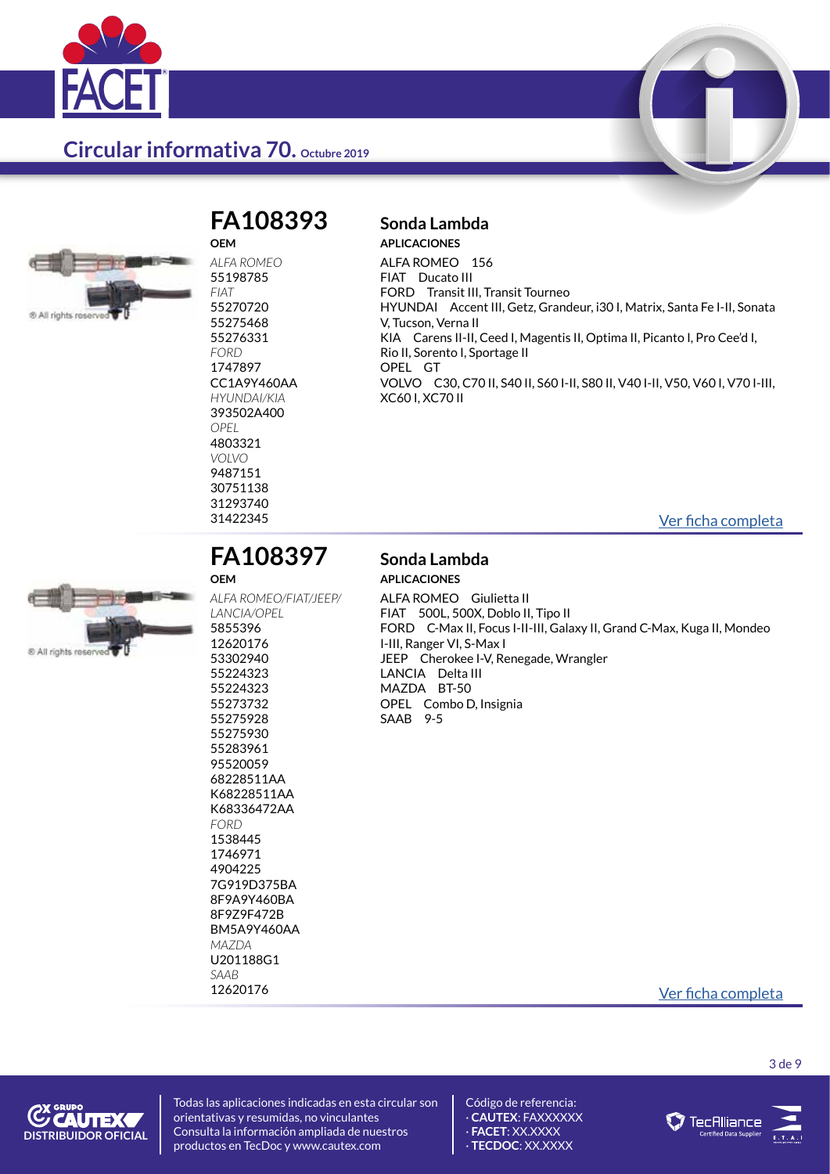



#### **FA108393 Sonda Lambda OEM**

*ALFA ROMEO* 55198785 *FIAT* 55270720 55275468 55276331 *FORD* 1747897 CC1A9Y460AA *HYUNDAI/KIA* 393502A400 *OPEL* 4803321 *VOLVO* 9487151 30751138 31293740<br>31422345

**APLICACIONES**

ALFA ROMEO 156 FIAT Ducato III FORD Transit III, Transit Tourneo HYUNDAI Accent III, Getz, Grandeur, i30 I, Matrix, Santa Fe I-II, Sonata V, Tucson, Verna II KIA Carens II-II, Ceed I, Magentis II, Optima II, Picanto I, Pro Cee'd I, Rio II, Sorento I, Sportage II OPEL GT VOLVO C30, C70 II, S40 II, S60 I-II, S80 II, V40 I-II, V50, V60 I, V70 I-III, XC60 I, XC70 II

[Ver ficha completa](https://catalogo.facet.eu/dettaglio/ES/Home/DettaglioProdotto/10.8393)



## **OEM**

*FORD* 1538445 1746971 4904225 7G919D375BA 8F9A9Y460BA 8F9Z9F472B BM5A9Y460AA

*MAZDA* U201188G1 *SAAB*

### **FA108397 Sonda Lambda**

*ALFA ROMEO/FIAT/JEEP/*

## **APLICACIONES**

ALFA ROMEO Giulietta II FIAT 500L, 500X, Doblo II, Tipo II FORD C-Max II, Focus I-II-III, Galaxy II, Grand C-Max, Kuga II, Mondeo I-III, Ranger VI, S-Max I JEEP Cherokee I-V, Renegade, Wrangler LANCIA Delta III MAZDA BT-50 OPEL Combo D, Insignia SAAB 9-5

### 12620176 [Ver ficha completa](https://catalogo.facet.eu/dettaglio/ES/Home/DettaglioProdotto/10.8397)

3 de 9



Todas las aplicaciones indicadas en esta circular son orientativas y resumidas, no vinculantes Consulta la información ampliada de nuestros productos en TecDoc y www.cautex.com



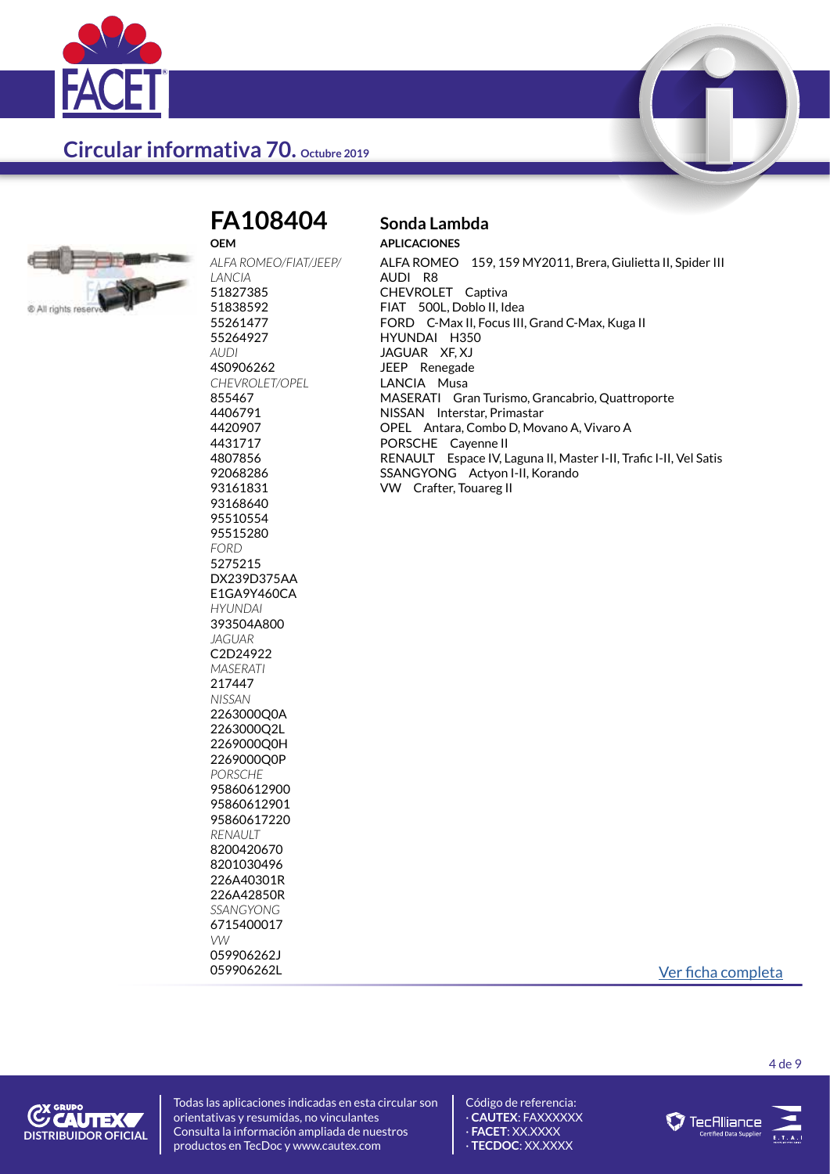



#### **FA108404 Sonda Lambda OEM**

*ALFA ROMEO/FIAT/JEEP/ LANCIA* 51827385 51838592 55261477 55264927 *AUDI* 4S0906262 *CHEVROLET/OPEL* 855467 4406791 4420907 4431717 4807856 92068286 93161831 93168640 95510554 95515280 *FORD* 5275215 DX239D375AA E1GA9Y460CA *HYUNDAI* 393504A800 *JAGUAR* C2D24922 *MASERATI* 217447 *NISSAN* 2263000Q0A 2263000Q2L 2269000Q0H 2269000Q0P *PORSCHE* 95860612900 95860612901 95860617220 *RENAULT* 8200420670 8201030496 226A40301R 226A42850R *SSANGYONG* 6715400017 *VW* 059906262J

## **APLICACIONES**

ALFA ROMEO 159, 159 MY2011, Brera, Giulietta II, Spider III AUDI R8 CHEVROLET Captiva FIAT 500L, Doblo II, Idea FORD C-Max II, Focus III, Grand C-Max, Kuga II HYUNDAI H350 JAGUAR XF, XJ JEEP Renegade LANCIA Musa MASERATI Gran Turismo, Grancabrio, Quattroporte NISSAN Interstar, Primastar OPEL Antara, Combo D, Movano A, Vivaro A PORSCHE Cayenne II RENAULT Espace IV, Laguna II, Master I-II, Trafic I-II, Vel Satis SSANGYONG Actyon I-II, Korando VW Crafter, Touareg II

059906262L [Ver ficha completa](https://catalogo.facet.eu/dettaglio/ES/Home/DettaglioProdotto/10.8404)

**C'EAUTEX DISTRIBUIDOR OFICIAL** Todas las aplicaciones indicadas en esta circular son orientativas y resumidas, no vinculantes Consulta la información ampliada de nuestros productos en TecDoc y www.cautex.com



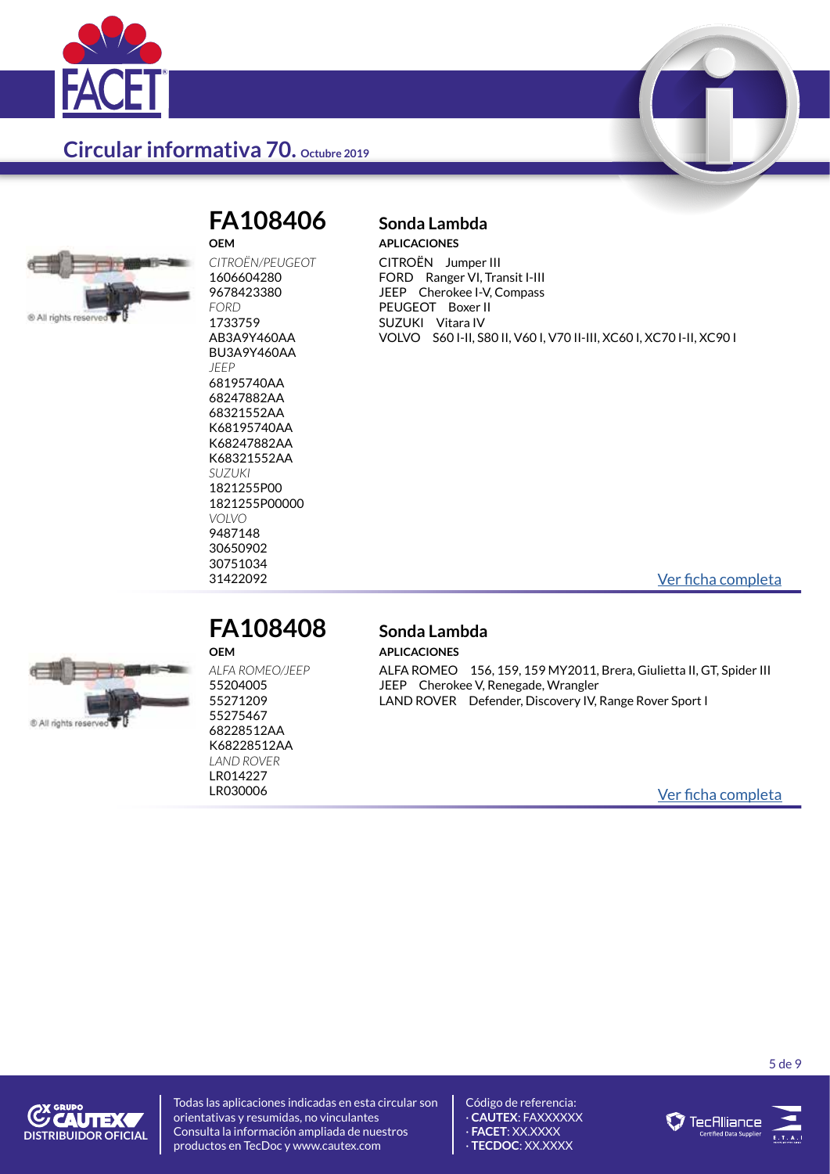



#### **FA108406 Sonda Lambda OEM**

*CITROËN/PEUGEOT* 1606604280 9678423380 *FORD* 1733759 AB3A9Y460AA BU3A9Y460AA *JEEP* 68195740AA 68247882AA 68321552AA K68195740AA K68247882AA K68321552AA *SUZUKI* 1821255P00 1821255P00000 *VOLVO* 9487148 30650902 30751034

**APLICACIONES** CITROËN Jumper III FORD Ranger VI, Transit I-III JEEP Cherokee I-V, Compass PEUGEOT Boxer II SUZUKI Vitara IV VOLVO S60 I-II, S80 II, V60 I, V70 II-III, XC60 I, XC70 I-II, XC90 I

31422092 [Ver ficha completa](https://catalogo.facet.eu/dettaglio/ES/Home/DettaglioProdotto/10.8406)



#### **FA108408 Sonda Lambda OEM**

*ALFA ROMEO/JEEP* 55204005 55271209 55275467 68228512AA K68228512AA *LAND ROVER*

LR014227

## **APLICACIONES**

ALFA ROMEO 156, 159, 159 MY2011, Brera, Giulietta II, GT, Spider III JEEP Cherokee V, Renegade, Wrangler LAND ROVER Defender, Discovery IV, Range Rover Sport I

LR030006 [Ver ficha completa](https://catalogo.facet.eu/dettaglio/ES/Home/DettaglioProdotto/10.8408)



Todas las aplicaciones indicadas en esta circular son orientativas y resumidas, no vinculantes Consulta la información ampliada de nuestros productos en TecDoc y www.cautex.com



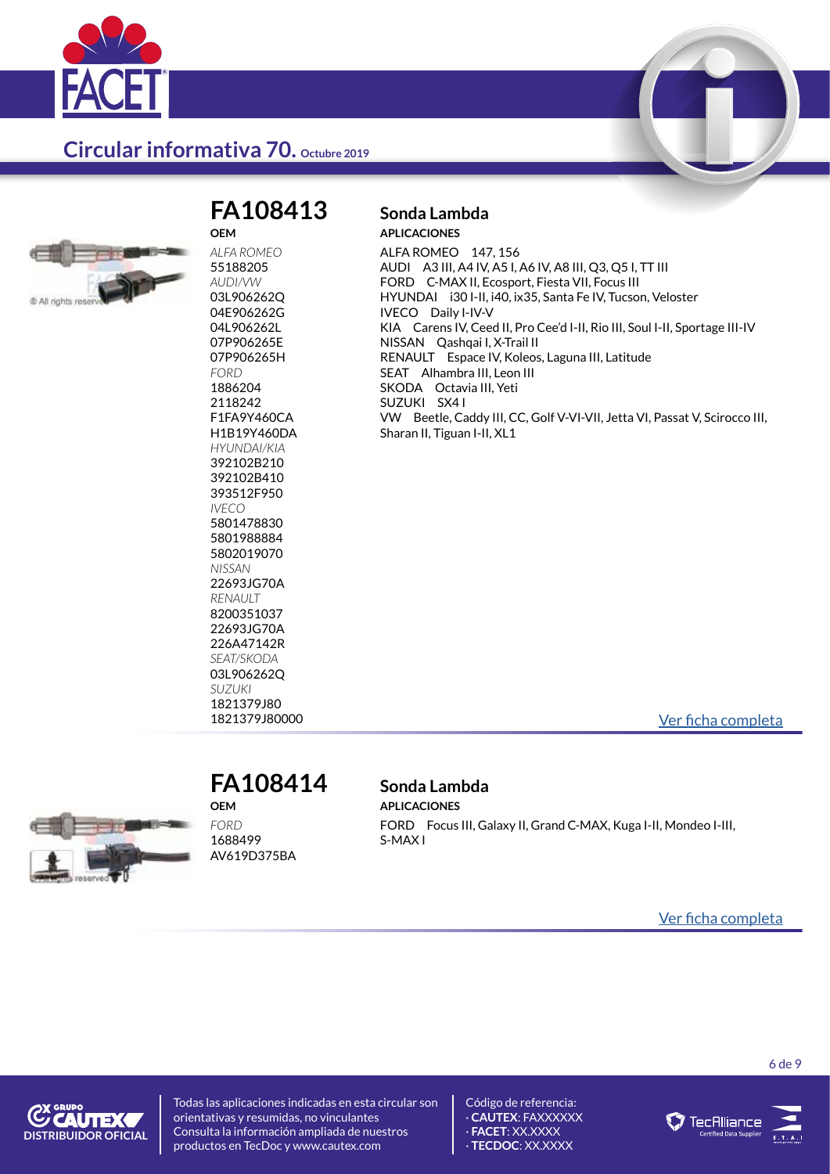



## **FA108413 Sonda Lambda**

**OEM**

*ALFA ROMEO* 55188205 *AUDI/VW* 03L906262Q 04E906262G 04L906262L 07P906265E 07P906265H *FORD* 1886204 2118242 F1FA9Y460CA H1B19Y460DA *HYUNDAI/KIA* 392102B210 392102B410 393512F950 *IVECO* 5801478830 5801988884 5802019070 *NISSAN* 22693JG70A *RENAULT* 8200351037 22693JG70A 226A47142R *SEAT/SKODA* 03L906262Q *SUZUKI* 1821379J80

## **APLICACIONES**

ALFA ROMEO 147, 156 AUDI A3 III, A4 IV, A5 I, A6 IV, A8 III, Q3, Q5 I, TT III FORD C-MAX II, Ecosport, Fiesta VII, Focus III HYUNDAI i30 I-II, i40, ix35, Santa Fe IV, Tucson, Veloster IVECO Daily I-IV-V KIA Carens IV, Ceed II, Pro Cee'd I-II, Rio III, Soul I-II, Sportage III-IV NISSAN Qashqai I, X-Trail II RENAULT Espace IV, Koleos, Laguna III, Latitude SEAT Alhambra III, Leon III SKODA Octavia III, Yeti SUZUKI SX4 I VW Beetle, Caddy III, CC, Golf V-VI-VII, Jetta VI, Passat V, Scirocco III, Sharan II, Tiguan I-II, XL1

1821379J80000 [Ver ficha completa](https://catalogo.facet.eu/dettaglio/ES/Home/DettaglioProdotto/10.8413)



#### **FA108414 Sonda Lambda OEM**

*FORD* 1688499 AV619D375BA

**APLICACIONES** FORD Focus III, Galaxy II, Grand C-MAX, Kuga I-II, Mondeo I-III, S-MAX I

[Ver ficha completa](https://catalogo.facet.eu/dettaglio/ES/Home/DettaglioProdotto/10.8414)



Todas las aplicaciones indicadas en esta circular son orientativas y resumidas, no vinculantes Consulta la información ampliada de nuestros productos en TecDoc y www.cautex.com



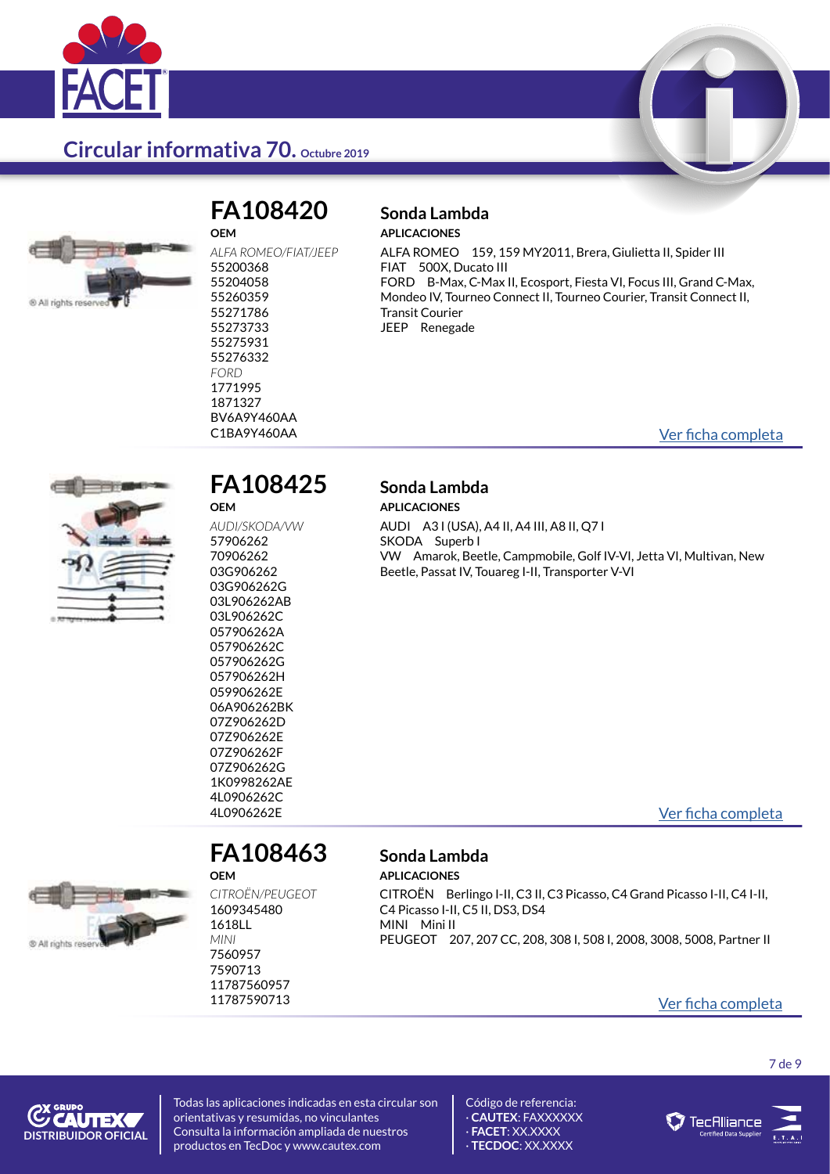



## **OEM**

## **FA108420 Sonda Lambda**

**APLICACIONES**

ALFA ROMEO 159, 159 MY2011, Brera, Giulietta II, Spider III FIAT 500X, Ducato III FORD B-Max, C-Max II, Ecosport, Fiesta VI, Focus III, Grand C-Max, Mondeo IV, Tourneo Connect II, Tourneo Courier, Transit Connect II, Transit Courier JEEP Renegade

C1BA9Y460AA [Ver ficha completa](https://catalogo.facet.eu/dettaglio/ES/Home/DettaglioProdotto/10.8420)



#### **FA108425 Sonda Lambda OEM**

*AUDI/SKODA/VW* 57906262 70906262 03G906262 03G906262G 03L906262AB 03L906262C 057906262A 057906262C 057906262G 057906262H 059906262E 06A906262BK 07Z906262D 07Z906262E 07Z906262F 07Z906262G 1K0998262AE 4L0906262C

## **APLICACIONES**

AUDI A3 I (USA), A4 II, A4 III, A8 II, Q7 I SKODA Superb I VW Amarok, Beetle, Campmobile, Golf IV-VI, Jetta VI, Multivan, New Beetle, Passat IV, Touareg I-II, Transporter V-VI

4L0906262E [Ver ficha completa](https://catalogo.facet.eu/dettaglio/ES/Home/DettaglioProdotto/10.8425)



#### **FA108463 Sonda Lambda OEM**

*CITROËN/PEUGEOT* 1609345480 1618LL *MINI* 7560957 7590713 11787560957

**APLICACIONES** CITROËN Berlingo I-II, C3 II, C3 Picasso, C4 Grand Picasso I-II, C4 I-II, C4 Picasso I-II, C5 II, DS3, DS4 MINI Mini II PEUGEOT 207, 207 CC, 208, 308 I, 508 I, 2008, 3008, 5008, Partner II

### <sup>11787590713</sup> [Ver ficha completa](https://catalogo.facet.eu/dettaglio/ES/Home/DettaglioProdotto/10.8463)

7 de 9



Todas las aplicaciones indicadas en esta circular son orientativas y resumidas, no vinculantes Consulta la información ampliada de nuestros productos en TecDoc y www.cautex.com



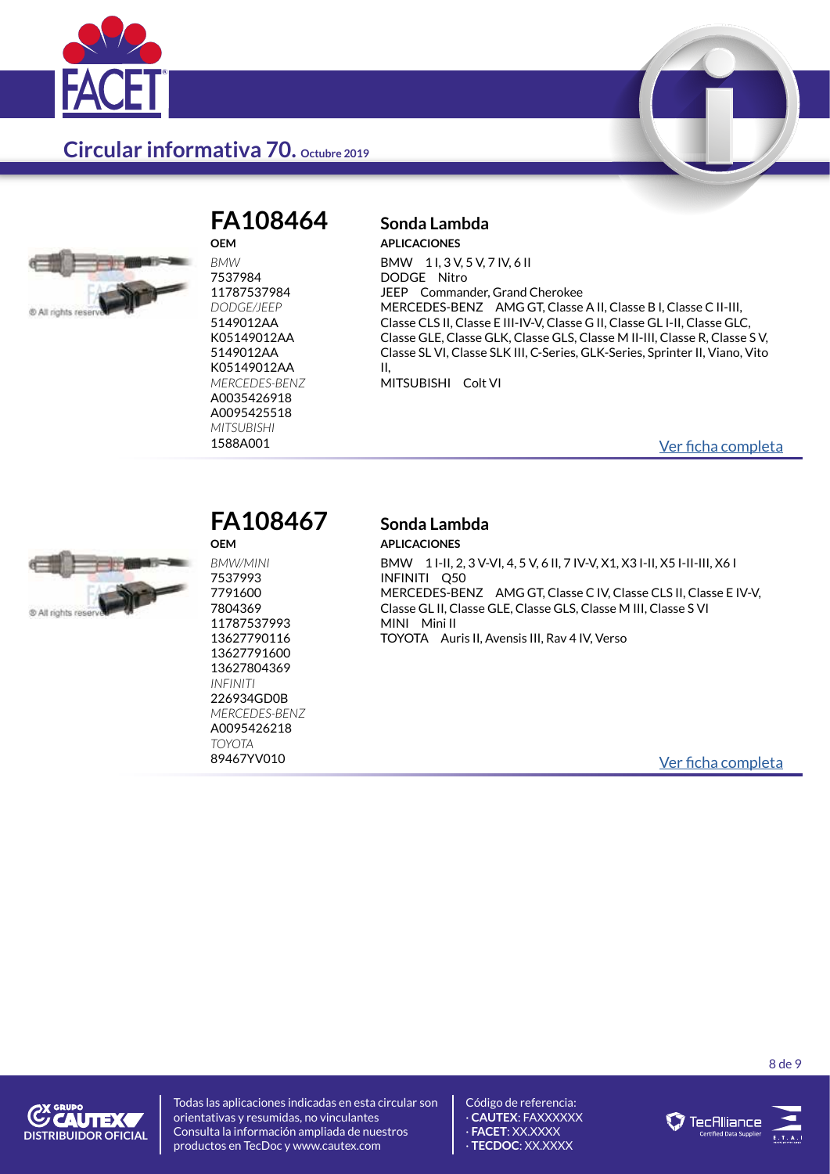



**OEM**

*BMW* 7537984 11787537984 *DODGE/JEEP* 5149012AA K05149012AA 5149012AA K05149012AA *MERCEDES-BENZ* A0035426918 A0095425518 *MITSUBISHI*

**OEM** *BMW/MINI* 7537993 7791600 7804369 11787537993 13627790116 13627791600 13627804369 *INFINITI* 226934GD0B *MERCEDES-BENZ* A0095426218 *TOYOTA*

#### **FA108464 Sonda Lambda APLICACIONES**

BMW 1 I, 3 V, 5 V, 7 IV, 6 II DODGE Nitro JEEP Commander, Grand Cherokee MERCEDES-BENZ AMG GT, Classe A II, Classe B I, Classe C II-III, Classe CLS II, Classe E III-IV-V, Classe G II, Classe GL I-II, Classe GLC, Classe GLE, Classe GLK, Classe GLS, Classe M II-III, Classe R, Classe S V, Classe SL VI, Classe SLK III, C-Series, GLK-Series, Sprinter II, Viano, Vito II, MITSUBISHI Colt VI

[Ver ficha completa](https://catalogo.facet.eu/dettaglio/ES/Home/DettaglioProdotto/10.8464)



## **FA108467 Sonda Lambda**

## **APLICACIONES**

BMW 1 I-II, 2, 3 V-VI, 4, 5 V, 6 II, 7 IV-V, X1, X3 I-II, X5 I-II-III, X6 I INFINITI Q50 MERCEDES-BENZ AMG GT, Classe C IV, Classe CLS II, Classe E IV-V, Classe GL II, Classe GLE, Classe GLS, Classe M III, Classe S VI MINI Mini II TOYOTA Auris II, Avensis III, Rav 4 IV, Verso

[Ver ficha completa](https://catalogo.facet.eu/dettaglio/ES/Home/DettaglioProdotto/10.8467)

**C'AUTEX DISTRIBUIDOR OFICIAL** Todas las aplicaciones indicadas en esta circular son orientativas y resumidas, no vinculantes Consulta la información ampliada de nuestros productos en TecDoc y www.cautex.com

Código de referencia: · **CAUTEX**: FAXXXXXX · **FACET**: XX.XXXX · **TECDOC**: XX.XXXX





8 de 9